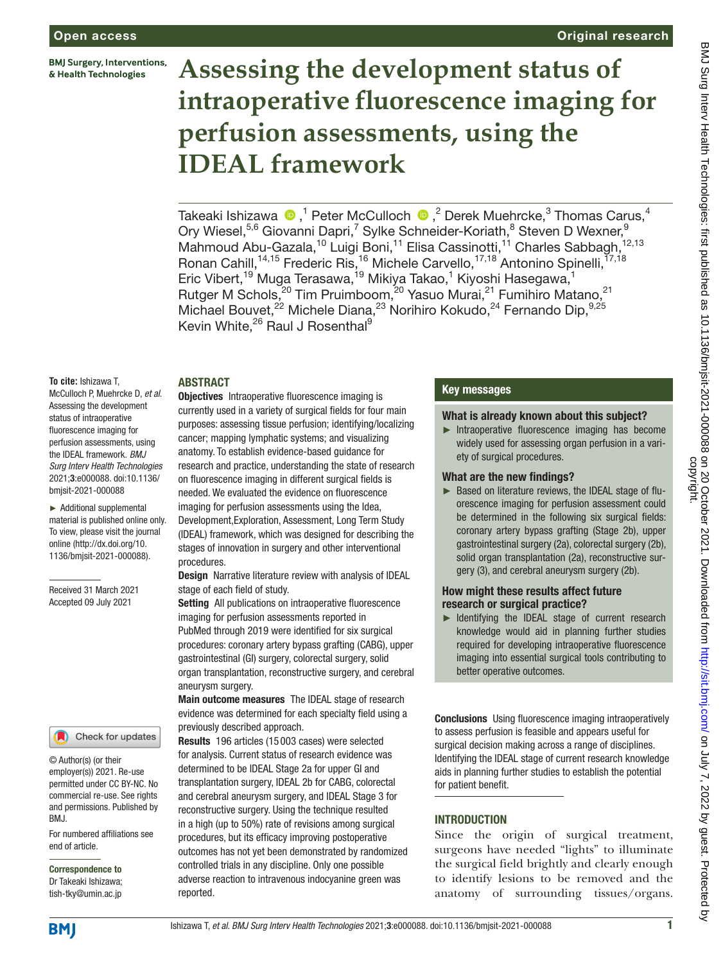**BMJ Surgery, Interventions,** & Health Technologies

## Original research

# **Assessing the development status of intraoperative fluorescence imaging for perfusion assessments, using the IDEAL framework**

Takeaki Ishizawa  $\bm{\Phi}, ^1$  Peter McCulloch  $\bm{\Phi}, ^2$  Derek Muehrcke, $^3$  Thomas Carus, $^4$ Ory Wiesel,<sup>5,6</sup> Giovanni Dapri,<sup>7</sup> Sylke Schneider-Koriath,<sup>8</sup> Steven D Wexner,<sup>9</sup> Mahmoud Abu-Gazala,<sup>10</sup> Luigi Boni,<sup>11</sup> Elisa Cassinotti,<sup>11</sup> Charles Sabbagh,<sup>12,13</sup> Ronan Cahill,<sup>14,15</sup> Frederic Ris,<sup>16</sup> Michele Carvello,<sup>17,18</sup> Antonino Spinelli,<sup>17,18</sup> Eric Vibert,<sup>19</sup> Muga Terasawa,<sup>19</sup> Mikiya Takao,<sup>1</sup> Kiyoshi Hasegawa,<sup>1</sup> Rutger M Schols,<sup>20</sup> Tim Pruimboom,<sup>20</sup> Yasuo Murai,<sup>21</sup> Fumihiro Matano,<sup>21</sup> Michael Bouvet, $^{22}$  Michele Diana, $^{23}$  Norihiro Kokudo, $^{24}$  Fernando Dip, $^{9,25}$ Kevin White,<sup>26</sup> Raul J Rosenthal<sup>9</sup>

## ABSTRACT

**To cite:** Ishizawa T, McCulloch P, Muehrcke D, *et al*. Assessing the development status of intraoperative fluorescence imaging for perfusion assessments, using the IDEAL framework. *BMJ Surg Interv Health Technologies* 2021;3:e000088. doi:10.1136/ bmjsit-2021-000088

► Additional supplemental material is published online only. To view, please visit the journal online [\(http://dx.doi.org/10.](http://dx.doi.org/10.1136/bmjsit-2021-000088) [1136/bmjsit-2021-000088](http://dx.doi.org/10.1136/bmjsit-2021-000088)).

Received 31 March 2021 Accepted 09 July 2021

#### Check for updates

© Author(s) (or their employer(s)) 2021. Re-use permitted under CC BY-NC. No commercial re-use. See rights and permissions. Published by BMJ.

For numbered affiliations see end of article.

Correspondence to Dr Takeaki Ishizawa; tish-tky@umin.ac.jp

**Objectives** Intraoperative fluorescence imaging is currently used in a variety of surgical fields for four main purposes: assessing tissue perfusion; identifying/localizing cancer; mapping lymphatic systems; and visualizing anatomy. To establish evidence-based guidance for research and practice, understanding the state of research on fluorescence imaging in different surgical fields is needed. We evaluated the evidence on fluorescence imaging for perfusion assessments using the Idea, Development,Exploration, Assessment, Long Term Study (IDEAL) framework, which was designed for describing the stages of innovation in surgery and other interventional procedures.

Design Narrative literature review with analysis of IDEAL stage of each field of study.

Setting All publications on intraoperative fluorescence imaging for perfusion assessments reported in PubMed through 2019 were identified for six surgical procedures: coronary artery bypass grafting (CABG), upper gastrointestinal (GI) surgery, colorectal surgery, solid organ transplantation, reconstructive surgery, and cerebral aneurysm surgery.

Main outcome measures The IDEAL stage of research evidence was determined for each specialty field using a previously described approach.

Results 196 articles (15 003 cases) were selected for analysis. Current status of research evidence was determined to be IDEAL Stage 2a for upper GI and transplantation surgery, IDEAL 2b for CABG, colorectal and cerebral aneurysm surgery, and IDEAL Stage 3 for reconstructive surgery. Using the technique resulted in a high (up to 50%) rate of revisions among surgical procedures, but its efficacy improving postoperative outcomes has not yet been demonstrated by randomized controlled trials in any discipline. Only one possible adverse reaction to intravenous indocyanine green was reported.

## Key messages

#### What is already known about this subject?

► Intraoperative fluorescence imaging has become widely used for assessing organ perfusion in a variety of surgical procedures.

#### What are the new findings?

► Based on literature reviews, the IDEAL stage of fluorescence imaging for perfusion assessment could be determined in the following six surgical fields: coronary artery bypass grafting (Stage 2b), upper gastrointestinal surgery (2a), colorectal surgery (2b), solid organ transplantation (2a), reconstructive surgery (3), and cerebral aneurysm surgery (2b).

#### How might these results affect future research or surgical practice?

► Identifying the IDEAL stage of current research knowledge would aid in planning further studies required for developing intraoperative fluorescence imaging into essential surgical tools contributing to better operative outcomes.

Conclusions Using fluorescence imaging intraoperatively to assess perfusion is feasible and appears useful for surgical decision making across a range of disciplines. Identifying the IDEAL stage of current research knowledge aids in planning further studies to establish the potential for patient benefit.

## **INTRODUCTION**

Since the origin of surgical treatment, surgeons have needed "lights" to illuminate the surgical field brightly and clearly enough to identify lesions to be removed and the anatomy of surrounding tissues/organs.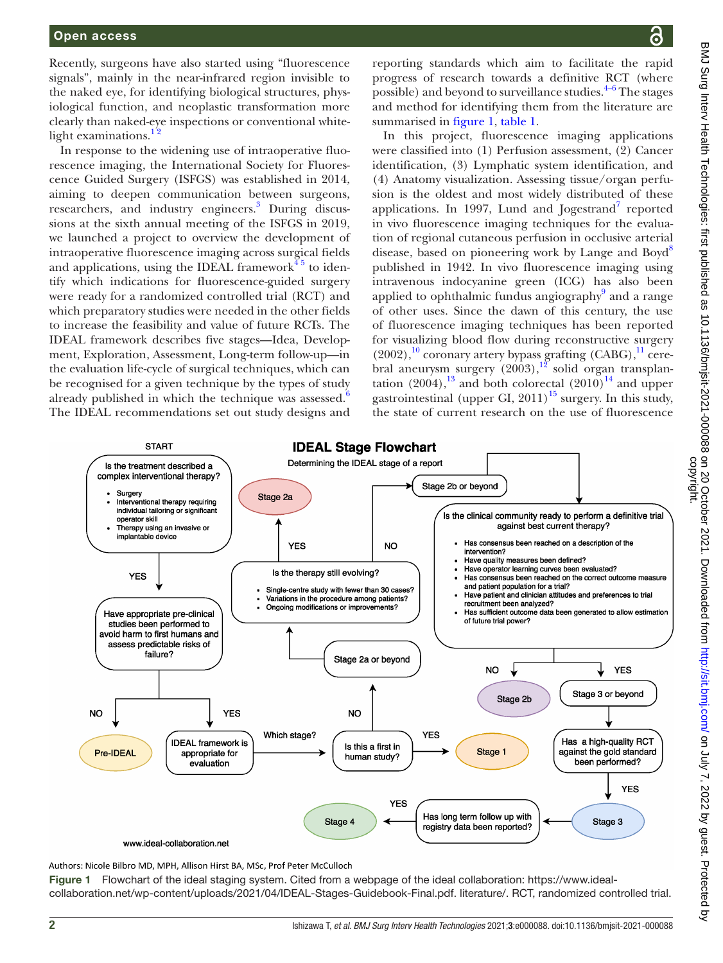Recently, surgeons have also started using "fluorescence signals", mainly in the near-infrared region invisible to the naked eye, for identifying biological structures, physiological function, and neoplastic transformation more clearly than naked-eye inspections or conventional whitelight examinations. $12$ 

In response to the widening use of intraoperative fluorescence imaging, the International Society for Fluorescence Guided Surgery (ISFGS) was established in 2014, aiming to deepen communication between surgeons, researchers, and industry engineers.<sup>3</sup> During discussions at the sixth annual meeting of the ISFGS in 2019, we launched a project to overview the development of intraoperative fluorescence imaging across surgical fields and applications, using the IDEAL framework $4<sup>5</sup>$  to identify which indications for fluorescence-guided surgery were ready for a randomized controlled trial (RCT) and which preparatory studies were needed in the other fields to increase the feasibility and value of future RCTs. The IDEAL framework describes five stages—Idea, Development, Exploration, Assessment, Long-term follow-up—in the evaluation life-cycle of surgical techniques, which can be recognised for a given technique by the types of study already published in which the technique was assessed.<sup>[6](#page-8-3)</sup> The IDEAL recommendations set out study designs and

reporting standards which aim to facilitate the rapid progress of research towards a definitive RCT (where possible) and beyond to surveillance studies.  $4-6$  The stages and method for identifying them from the literature are summarised in [figure](#page-1-0) 1, [table](#page-2-0) 1.

In this project, fluorescence imaging applications were classified into (1) Perfusion assessment, (2) Cancer identification, (3) Lymphatic system identification, and (4) Anatomy visualization. Assessing tissue/organ perfusion is the oldest and most widely distributed of these applications. In 199[7](#page-8-4), Lund and Jogestrand<sup>7</sup> reported in vivo fluorescence imaging techniques for the evaluation of regional cutaneous perfusion in occlusive arterial disease, based on pioneering work by Lange and Boyd<sup>[8](#page-8-5)</sup> published in 1942. In vivo fluorescence imaging using intravenous indocyanine green (ICG) has also been applied to ophthalmic fundus angiography<sup>[9](#page-8-6)</sup> and a range of other uses. Since the dawn of this century, the use of fluorescence imaging techniques has been reported for visualizing blood flow during reconstructive surgery  $(2002),<sup>10</sup>$  coronary artery bypass grafting  $(CABG),<sup>11</sup>$  cerebral aneurysm surgery  $(2003)$ ,<sup>[12](#page-8-9)</sup> solid organ transplantation  $(2004)$ ,<sup>13</sup> and both colorectal  $(2010)$ <sup>14</sup> and upper gastrointestinal (upper GI,  $2011$ )<sup>[15](#page-8-12)</sup> surgery. In this study, the state of current research on the use of fluorescence



<span id="page-1-0"></span>Authors: Nicole Bilbro MD, MPH, Allison Hirst BA, MSc, Prof Peter McCulloch

Figure 1 Flowchart of the ideal staging system. Cited from a webpage of the ideal collaboration: [https://www.ideal](https://www.ideal-collaboration.net/wp-content/uploads/2021/04/IDEAL-Stages-Guidebook-Final.pdf)[collaboration.net/wp-content/uploads/2021/04/IDEAL-Stages-Guidebook-Final.pdf.](https://www.ideal-collaboration.net/wp-content/uploads/2021/04/IDEAL-Stages-Guidebook-Final.pdf) [literature/](http://www.ideal-collaboration.net/ideal-flowchart-and-stage-questions-for-assessing-literature). RCT, randomized controlled trial.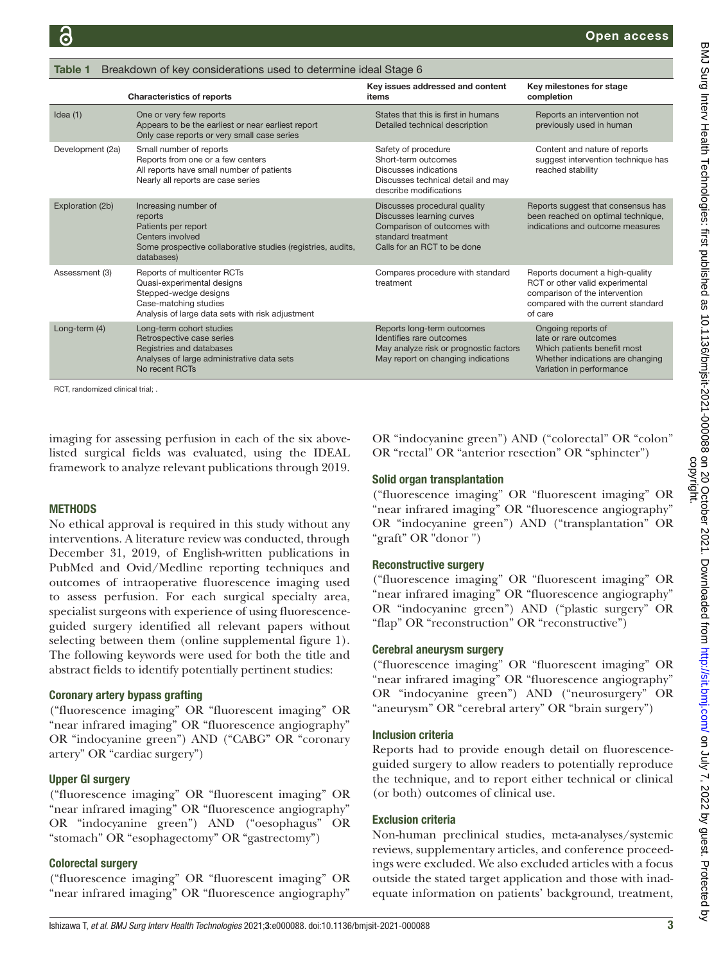<span id="page-2-0"></span>

| Table 1          | Breakdown of key considerations used to determine ideal Stage 6                                                                                                 |                                                                                                                                               |                                                                                                                                                       |
|------------------|-----------------------------------------------------------------------------------------------------------------------------------------------------------------|-----------------------------------------------------------------------------------------------------------------------------------------------|-------------------------------------------------------------------------------------------------------------------------------------------------------|
|                  | <b>Characteristics of reports</b>                                                                                                                               | Key issues addressed and content<br>items                                                                                                     | Key milestones for stage<br>completion                                                                                                                |
| Idea $(1)$       | One or very few reports<br>Appears to be the earliest or near earliest report<br>Only case reports or very small case series                                    | States that this is first in humans<br>Detailed technical description                                                                         | Reports an intervention not<br>previously used in human                                                                                               |
| Development (2a) | Small number of reports<br>Reports from one or a few centers<br>All reports have small number of patients<br>Nearly all reports are case series                 | Safety of procedure<br>Short-term outcomes<br>Discusses indications<br>Discusses technical detail and may<br>describe modifications           | Content and nature of reports<br>suggest intervention technique has<br>reached stability                                                              |
| Exploration (2b) | Increasing number of<br>reports<br>Patients per report<br>Centers involved<br>Some prospective collaborative studies (registries, audits,<br>databases)         | Discusses procedural quality<br>Discusses learning curves<br>Comparison of outcomes with<br>standard treatment<br>Calls for an RCT to be done | Reports suggest that consensus has<br>been reached on optimal technique,<br>indications and outcome measures                                          |
| Assessment (3)   | Reports of multicenter RCTs<br>Quasi-experimental designs<br>Stepped-wedge designs<br>Case-matching studies<br>Analysis of large data sets with risk adjustment | Compares procedure with standard<br>treatment                                                                                                 | Reports document a high-quality<br>RCT or other valid experimental<br>comparison of the intervention<br>compared with the current standard<br>of care |
| Long-term (4)    | Long-term cohort studies<br>Retrospective case series<br>Registries and databases<br>Analyses of large administrative data sets<br>No recent RCTs               | Reports long-term outcomes<br>Identifies rare outcomes<br>May analyze risk or prognostic factors<br>May report on changing indications        | Ongoing reports of<br>late or rare outcomes<br>Which patients benefit most<br>Whether indications are changing<br>Variation in performance            |

RCT, randomized clinical trial;

imaging for assessing perfusion in each of the six abovelisted surgical fields was evaluated, using the IDEAL framework to analyze relevant publications through 2019.

## METHODS

No ethical approval is required in this study without any interventions. A literature review was conducted, through December 31, 2019, of English-written publications in PubMed and Ovid/Medline reporting techniques and outcomes of intraoperative fluorescence imaging used to assess perfusion. For each surgical specialty area, specialist surgeons with experience of using fluorescenceguided surgery identified all relevant papers without selecting between them [\(online supplemental figure 1](https://dx.doi.org/10.1136/bmjsit-2021-000088)). The following keywords were used for both the title and abstract fields to identify potentially pertinent studies:

## Coronary artery bypass grafting

("fluorescence imaging" OR "fluorescent imaging" OR "near infrared imaging" OR "fluorescence angiography" OR "indocyanine green") AND ("CABG" OR "coronary artery" OR "cardiac surgery")

## Upper GI surgery

("fluorescence imaging" OR "fluorescent imaging" OR "near infrared imaging" OR "fluorescence angiography" OR "indocyanine green") AND ("oesophagus" OR "stomach" OR "esophagectomy" OR "gastrectomy")

## Colorectal surgery

("fluorescence imaging" OR "fluorescent imaging" OR "near infrared imaging" OR "fluorescence angiography" OR "indocyanine green") AND ("colorectal" OR "colon" OR "rectal" OR "anterior resection" OR "sphincter")

#### Solid organ transplantation

("fluorescence imaging" OR "fluorescent imaging" OR "near infrared imaging" OR "fluorescence angiography" OR "indocyanine green") AND ("transplantation" OR "graft" OR "donor ")

## Reconstructive surgery

("fluorescence imaging" OR "fluorescent imaging" OR "near infrared imaging" OR "fluorescence angiography" OR "indocyanine green") AND ("plastic surgery" OR "flap" OR "reconstruction" OR "reconstructive")

## Cerebral aneurysm surgery

("fluorescence imaging" OR "fluorescent imaging" OR "near infrared imaging" OR "fluorescence angiography" OR "indocyanine green") AND ("neurosurgery" OR "aneurysm" OR "cerebral artery" OR "brain surgery")

## Inclusion criteria

Reports had to provide enough detail on fluorescenceguided surgery to allow readers to potentially reproduce the technique, and to report either technical or clinical (or both) outcomes of clinical use.

## Exclusion criteria

Non-human preclinical studies, meta-analyses/systemic reviews, supplementary articles, and conference proceedings were excluded. We also excluded articles with a focus outside the stated target application and those with inadequate information on patients' background, treatment,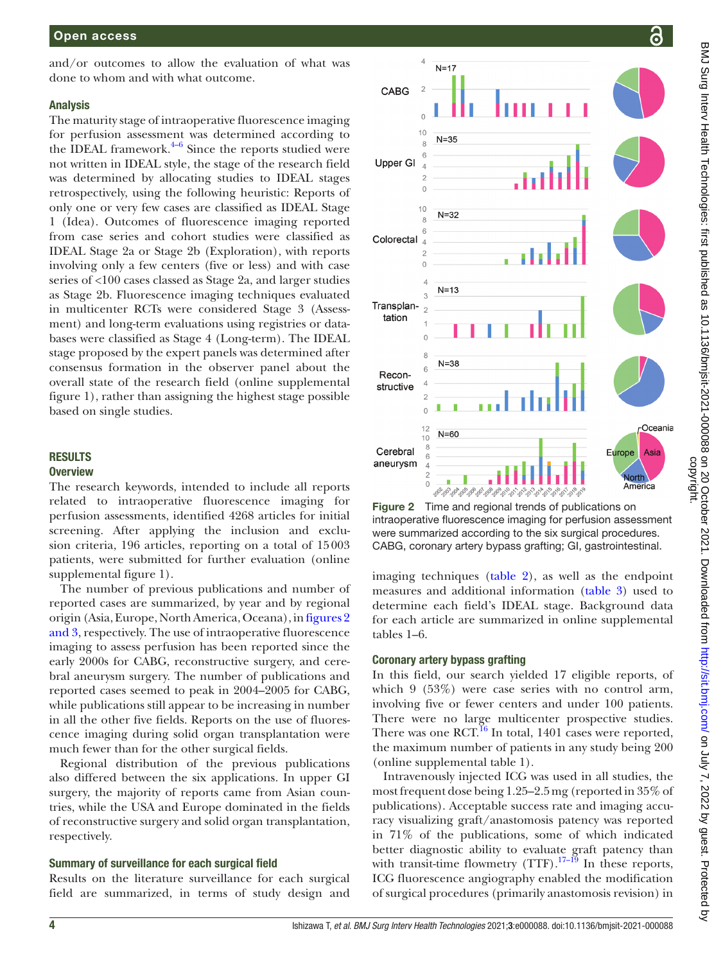and/or outcomes to allow the evaluation of what was done to whom and with what outcome.

## Analysis

The maturity stage of intraoperative fluorescence imaging for perfusion assessment was determined according to the IDEAL framework. $4-6$  Since the reports studied were not written in IDEAL style, the stage of the research field was determined by allocating studies to IDEAL stages retrospectively, using the following heuristic: Reports of only one or very few cases are classified as IDEAL Stage 1 (Idea). Outcomes of fluorescence imaging reported from case series and cohort studies were classified as IDEAL Stage 2a or Stage 2b (Exploration), with reports involving only a few centers (five or less) and with case series of <100 cases classed as Stage 2a, and larger studies as Stage 2b. Fluorescence imaging techniques evaluated in multicenter RCTs were considered Stage 3 (Assessment) and long-term evaluations using registries or databases were classified as Stage 4 (Long-term). The IDEAL stage proposed by the expert panels was determined after consensus formation in the observer panel about the overall state of the research field [\(online supplemental](https://dx.doi.org/10.1136/bmjsit-2021-000088) [figure 1](https://dx.doi.org/10.1136/bmjsit-2021-000088)), rather than assigning the highest stage possible based on single studies.

## **RESULTS Overview**

The research keywords, intended to include all reports related to intraoperative fluorescence imaging for perfusion assessments, identified 4268 articles for initial screening. After applying the inclusion and exclusion criteria, 196 articles, reporting on a total of 15003 patients, were submitted for further evaluation [\(online](https://dx.doi.org/10.1136/bmjsit-2021-000088) [supplemental figure 1](https://dx.doi.org/10.1136/bmjsit-2021-000088)).

The number of previous publications and number of reported cases are summarized, by year and by regional origin (Asia, Europe, North America, Oceana), in [figures](#page-3-0) 2 [and 3](#page-3-0), respectively. The use of intraoperative fluorescence imaging to assess perfusion has been reported since the early 2000s for CABG, reconstructive surgery, and cerebral aneurysm surgery. The number of publications and reported cases seemed to peak in 2004–2005 for CABG, while publications still appear to be increasing in number in all the other five fields. Reports on the use of fluorescence imaging during solid organ transplantation were much fewer than for the other surgical fields.

Regional distribution of the previous publications also differed between the six applications. In upper GI surgery, the majority of reports came from Asian countries, while the USA and Europe dominated in the fields of reconstructive surgery and solid organ transplantation, respectively.

# Summary of surveillance for each surgical field

Results on the literature surveillance for each surgical field are summarized, in terms of study design and



<span id="page-3-0"></span>Figure 2 Time and regional trends of publications on intraoperative fluorescence imaging for perfusion assessment were summarized according to the six surgical procedures. CABG, coronary artery bypass grafting; GI, gastrointestinal.

imaging techniques ([table](#page-5-0) 2), as well as the endpoint measures and additional information [\(table](#page-6-0) 3) used to determine each field's IDEAL stage. Background data for each article are summarized in [online supplemental](https://dx.doi.org/10.1136/bmjsit-2021-000088)  [tables 1–6.](https://dx.doi.org/10.1136/bmjsit-2021-000088)

## Coronary artery bypass grafting

In this field, our search yielded 17 eligible reports, of which 9 (53%) were case series with no control arm, involving five or fewer centers and under 100 patients. There were no large multicenter prospective studies. There was one  $\text{RCT}$ <sup>16</sup>. In total, 1401 cases were reported, the maximum number of patients in any study being 200 [\(online supplemental table 1](https://dx.doi.org/10.1136/bmjsit-2021-000088)).

Intravenously injected ICG was used in all studies, the most frequent dose being 1.25–2.5mg (reported in 35% of publications). Acceptable success rate and imaging accuracy visualizing graft/anastomosis patency was reported in 71% of the publications, some of which indicated better diagnostic ability to evaluate graft patency than with transit-time flowmetry  $(TTF)$ .<sup>17–19</sup> In these reports, ICG fluorescence angiography enabled the modification of surgical procedures (primarily anastomosis revision) in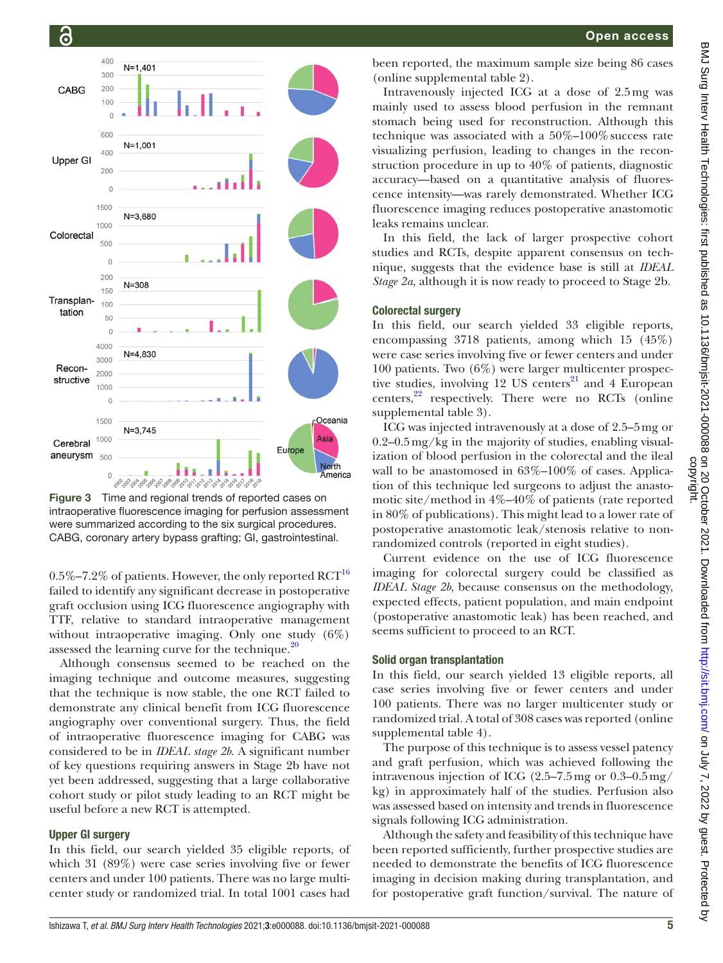

Figure 3 Time and regional trends of reported cases on intraoperative fluorescence imaging for perfusion assessment were summarized according to the six surgical procedures. CABG, coronary artery bypass grafting; GI, gastrointestinal.

0.5%–7.2% of patients. However, the only reported  $\mathrm{RCT}^{16}$ failed to identify any significant decrease in postoperative graft occlusion using ICG fluorescence angiography with TTF, relative to standard intraoperative management without intraoperative imaging. Only one study (6%) assessed the learning curve for the technique. $20$ 

Although consensus seemed to be reached on the imaging technique and outcome measures, suggesting that the technique is now stable, the one RCT failed to demonstrate any clinical benefit from ICG fluorescence angiography over conventional surgery. Thus, the field of intraoperative fluorescence imaging for CABG was considered to be in *IDEAL stage 2b*. A significant number of key questions requiring answers in Stage 2b have not yet been addressed, suggesting that a large collaborative cohort study or pilot study leading to an RCT might be useful before a new RCT is attempted.

## Upper GI surgery

In this field, our search yielded 35 eligible reports, of which 31 (89%) were case series involving five or fewer centers and under 100 patients. There was no large multicenter study or randomized trial. In total 1001 cases had

been reported, the maximum sample size being 86 cases [\(online supplemental table 2](https://dx.doi.org/10.1136/bmjsit-2021-000088)).

Intravenously injected ICG at a dose of 2.5mg was mainly used to assess blood perfusion in the remnant stomach being used for reconstruction. Although this technique was associated with a  $50\%-100\%$  success rate visualizing perfusion, leading to changes in the reconstruction procedure in up to 40% of patients, diagnostic accuracy—based on a quantitative analysis of fluorescence intensity—was rarely demonstrated. Whether ICG fluorescence imaging reduces postoperative anastomotic leaks remains unclear.

In this field, the lack of larger prospective cohort studies and RCTs, despite apparent consensus on technique, suggests that the evidence base is still at *IDEAL Stage 2a,* although it is now ready to proceed to Stage 2b.

#### Colorectal surgery

In this field, our search yielded 33 eligible reports, encompassing 3718 patients, among which 15 (45%) were case series involving five or fewer centers and under 100 patients. Two (6%) were larger multicenter prospective studies, involving 12 US centers $^{21}$  and 4 European centers, $^{22}$  respectively. There were no RCTs (online [supplemental table 3\)](https://dx.doi.org/10.1136/bmjsit-2021-000088).

ICG was injected intravenously at a dose of 2.5–5mg or 0.2–0.5mg/kg in the majority of studies, enabling visualization of blood perfusion in the colorectal and the ileal wall to be anastomosed in 63%–100% of cases. Application of this technique led surgeons to adjust the anastomotic site/method in 4%–40% of patients (rate reported in 80% of publications). This might lead to a lower rate of postoperative anastomotic leak/stenosis relative to nonrandomized controls (reported in eight studies).

Current evidence on the use of ICG fluorescence imaging for colorectal surgery could be classified as *IDEAL Stage 2b*, because consensus on the methodology, expected effects, patient population, and main endpoint (postoperative anastomotic leak) has been reached, and seems sufficient to proceed to an RCT.

#### Solid organ transplantation

In this field, our search yielded 13 eligible reports, all case series involving five or fewer centers and under 100 patients. There was no larger multicenter study or randomized trial. A total of 308 cases was reported ([online](https://dx.doi.org/10.1136/bmjsit-2021-000088)  [supplemental table 4\)](https://dx.doi.org/10.1136/bmjsit-2021-000088).

The purpose of this technique is to assess vessel patency and graft perfusion, which was achieved following the intravenous injection of ICG (2.5–7.5mg or 0.3–0.5mg/ kg) in approximately half of the studies. Perfusion also was assessed based on intensity and trends in fluorescence signals following ICG administration.

Although the safety and feasibility of this technique have been reported sufficiently, further prospective studies are needed to demonstrate the benefits of ICG fluorescence imaging in decision making during transplantation, and for postoperative graft function/survival. The nature of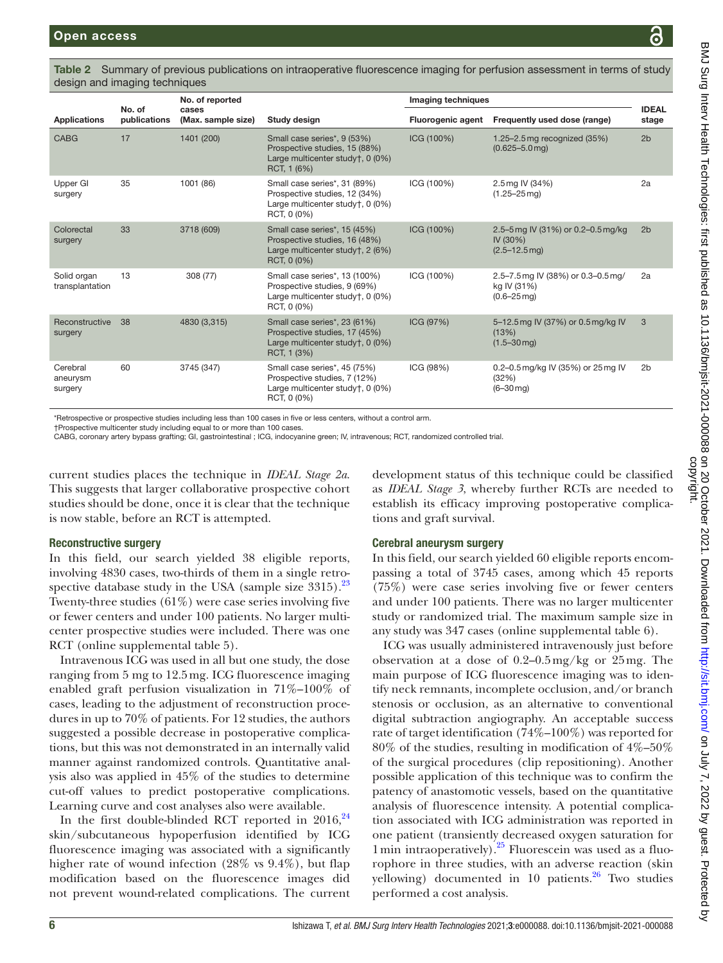<span id="page-5-0"></span>Table 2 Summary of previous publications on intraoperative fluorescence imaging for perfusion assessment in terms of study design and imaging techniques

|                                 |                        | No. of reported             |                                                                                                                  | Imaging techniques       |                                                                                 |                       |
|---------------------------------|------------------------|-----------------------------|------------------------------------------------------------------------------------------------------------------|--------------------------|---------------------------------------------------------------------------------|-----------------------|
| <b>Applications</b>             | No. of<br>publications | cases<br>(Max. sample size) | Study design                                                                                                     | <b>Fluorogenic agent</b> | Frequently used dose (range)                                                    | <b>IDEAL</b><br>stage |
| <b>CABG</b>                     | 17                     | 1401 (200)                  | Small case series*, 9 (53%)<br>Prospective studies, 15 (88%)<br>Large multicenter study†, 0 (0%)<br>RCT, 1 (6%)  | ICG (100%)               | 1.25-2.5 mg recognized (35%)<br>$(0.625 - 5.0$ mg)                              | 2 <sub>b</sub>        |
| Upper GI<br>surgery             | 35                     | 1001 (86)                   | Small case series*, 31 (89%)<br>Prospective studies, 12 (34%)<br>Large multicenter study†, 0 (0%)<br>RCT, 0 (0%) | ICG (100%)               | 2.5 mg IV (34%)<br>$(1.25 - 25 \,\text{mg})$                                    | 2a                    |
| Colorectal<br>surgery           | 33                     | 3718 (609)                  | Small case series*, 15 (45%)<br>Prospective studies, 16 (48%)<br>Large multicenter study†, 2 (6%)<br>RCT, 0 (0%) | ICG (100%)               | 2.5-5 mg IV (31%) or 0.2-0.5 mg/kg<br>IV (30%)<br>$(2.5 - 12.5$ mg)             | 2 <sub>b</sub>        |
| Solid organ<br>transplantation  | 13                     | 308 (77)                    | Small case series*, 13 (100%)<br>Prospective studies, 9 (69%)<br>Large multicenter study†, 0 (0%)<br>RCT, 0 (0%) | ICG (100%)               | 2.5-7.5 mg IV (38%) or 0.3-0.5 mg/<br>kg IV (31%)<br>$(0.6 - 25 \,\mathrm{mq})$ | 2a                    |
| Reconstructive<br>surgery       | 38                     | 4830 (3,315)                | Small case series*, 23 (61%)<br>Prospective studies, 17 (45%)<br>Large multicenter study†, 0 (0%)<br>RCT, 1 (3%) | ICG (97%)                | 5-12.5 mg IV (37%) or 0.5 mg/kg IV<br>(13%)<br>$(1.5 - 30$ mg)                  | 3                     |
| Cerebral<br>aneurysm<br>surgery | 60                     | 3745 (347)                  | Small case series*, 45 (75%)<br>Prospective studies, 7 (12%)<br>Large multicenter study†, 0 (0%)<br>RCT, 0 (0%)  | ICG (98%)                | 0.2-0.5 mg/kg IV (35%) or 25 mg IV<br>(32%)<br>$(6 - 30$ mg)                    | 2 <sub>b</sub>        |

\*Retrospective or prospective studies including less than 100 cases in five or less centers, without a control arm.

†Prospective multicenter study including equal to or more than 100 cases.

CABG, coronary artery bypass grafting; GI, gastrointestinal ; ICG, indocyanine green; IV, intravenous; RCT, randomized controlled trial.

current studies places the technique in *IDEAL Stage 2a*. This suggests that larger collaborative prospective cohort studies should be done, once it is clear that the technique is now stable, before an RCT is attempted.

# Reconstructive surgery

In this field, our search yielded 38 eligible reports, involving 4830 cases, two-thirds of them in a single retrospective database study in the USA (sample size  $3315$ ).<sup>23</sup> Twenty-three studies (61%) were case series involving five or fewer centers and under 100 patients. No larger multicenter prospective studies were included. There was one RCT [\(online supplemental table 5](https://dx.doi.org/10.1136/bmjsit-2021-000088)).

Intravenous ICG was used in all but one study, the dose ranging from 5 mg to 12.5mg. ICG fluorescence imaging enabled graft perfusion visualization in 71%–100% of cases, leading to the adjustment of reconstruction procedures in up to 70% of patients. For 12 studies, the authors suggested a possible decrease in postoperative complications, but this was not demonstrated in an internally valid manner against randomized controls. Quantitative analysis also was applied in 45% of the studies to determine cut-off values to predict postoperative complications. Learning curve and cost analyses also were available.

In the first double-blinded RCT reported in  $2016$ ,  $24$ skin/subcutaneous hypoperfusion identified by ICG fluorescence imaging was associated with a significantly higher rate of wound infection (28% vs 9.4%), but flap modification based on the fluorescence images did not prevent wound-related complications. The current

development status of this technique could be classified as *IDEAL Stage 3*, whereby further RCTs are needed to establish its efficacy improving postoperative complications and graft survival.

# Cerebral aneurysm surgery

In this field, our search yielded 60 eligible reports encompassing a total of 3745 cases, among which 45 reports (75%) were case series involving five or fewer centers and under 100 patients. There was no larger multicenter study or randomized trial. The maximum sample size in any study was 347 cases ([online supplemental table 6\)](https://dx.doi.org/10.1136/bmjsit-2021-000088).

ICG was usually administered intravenously just before observation at a dose of 0.2–0.5mg/kg or 25mg. The main purpose of ICG fluorescence imaging was to identify neck remnants, incomplete occlusion, and/or branch stenosis or occlusion, as an alternative to conventional digital subtraction angiography. An acceptable success rate of target identification (74%–100%) was reported for 80% of the studies, resulting in modification of 4%–50% of the surgical procedures (clip repositioning). Another possible application of this technique was to confirm the patency of anastomotic vessels, based on the quantitative analysis of fluorescence intensity. A potential complication associated with ICG administration was reported in one patient (transiently decreased oxygen saturation for  $1 \text{min}$  intraoperatively).<sup>25</sup> Fluorescein was used as a fluorophore in three studies, with an adverse reaction (skin yellowing) documented in 10 patients. $^{26}$  Two studies performed a cost analysis.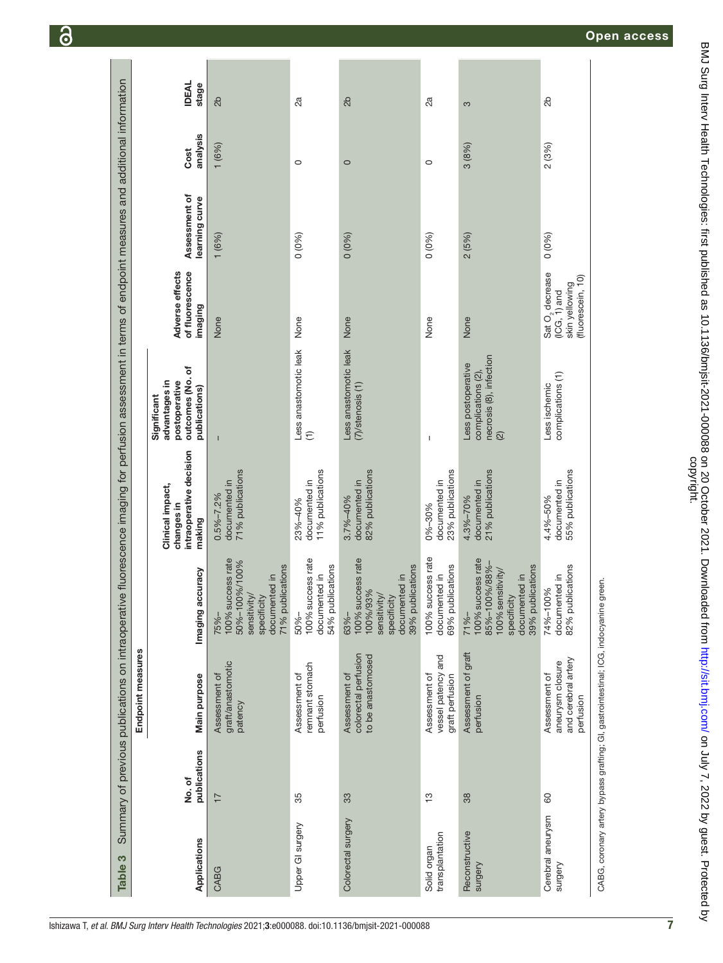<span id="page-6-0"></span>

|                                |                        | Endpoint measures                                                     |                                                                                                                        |                                                                     |                                                                                           |                                                                                    |                                 |                  |                       |
|--------------------------------|------------------------|-----------------------------------------------------------------------|------------------------------------------------------------------------------------------------------------------------|---------------------------------------------------------------------|-------------------------------------------------------------------------------------------|------------------------------------------------------------------------------------|---------------------------------|------------------|-----------------------|
| Applications                   | publications<br>No. of | Main purpose                                                          | Imaging accuracy                                                                                                       | intraoperative decision<br>Clinical impact,<br>changes in<br>making | outcomes (No. of<br>advantages in<br>postoperative<br>publications)<br>Significant        | Adverse effects<br>of fluorescence<br>imaging                                      | Assessment of<br>learning curve | analysis<br>Cost | <b>IDEAL</b><br>stage |
| CABG                           | 17                     | graft/anastomotic<br>Assessment of<br>patency                         | 100% success rate<br>50%-100%/100%<br>71% publications<br>documented in<br>sensitivity/<br>specificity<br>$75% -$      | 71% publications<br>documented in<br>$0.5\% - 7.2\%$                | $\mathbf{I}$                                                                              | None                                                                               | 1(6%)                           | 1(6%)            | 2 <sub>b</sub>        |
| Upper GI surgery               | 35                     | remnant stomach<br>Assessment of<br>perfusion                         | 100% success rate<br>54% publications<br>documented in<br>$50% -$                                                      | 11% publications<br>documented in<br>23%-40%                        | Less anastomotic leak<br>$\widehat{\tau}$                                                 | None                                                                               | 0(0%)                           | $\circ$          | 2a                    |
| Colorectal surgery             | 33                     | colorectal perfusion<br>to be anastomosed<br>Assessment of            | 100% success rate<br>39% publications<br>documented in<br>100%/93%<br>sensitivity/<br>specificity<br>63%-              | 82% publications<br>documented in<br>3.7%-40%                       | Less anastomotic leak<br>$(7)/$ stenosis $(1)$                                            | None                                                                               | 0(0%)                           | $\circ$          | 2b                    |
| transplantation<br>Solid organ | င္                     | vessel patency and<br>Assessment of<br>graft perfusion                | 100% success rate<br>69% publications<br>documented in                                                                 | 23% publications<br>documented in<br>0%-30%                         | $\overline{\phantom{a}}$                                                                  | None                                                                               | 0(0%)                           | $\circ$          | 2ã                    |
| Reconstructive<br>surgery      | 38                     | Assessment of graft<br>perfusion                                      | 100% success rate<br>85%-100%/88%-<br>39% publications<br>100% sensitivity/<br>documented in<br>specificity<br>$71% -$ | 21% publications<br>documented in<br>4.3%-70%                       | necrosis (8), infection<br>Less postoperative<br>complications (2),<br>$\widehat{\omega}$ | None                                                                               | 2(5%)                           | 3(8%)            | S                     |
| Cerebral aneurysm<br>Surgery   | 60                     | and cerebral artery<br>aneurysm closure<br>Assessment of<br>perfusion | 82% publications<br>documented in<br>74%-100%                                                                          | 55% publications<br>documented in<br>4.4%-50%                       | complications (1)<br>Less ischemic                                                        | Sat O <sub>2</sub> decrease<br>(ICG, 1) and<br>(fluorescein, 10)<br>skin yellowing | $0(0\%)$                        | 2(3%)            | 2b                    |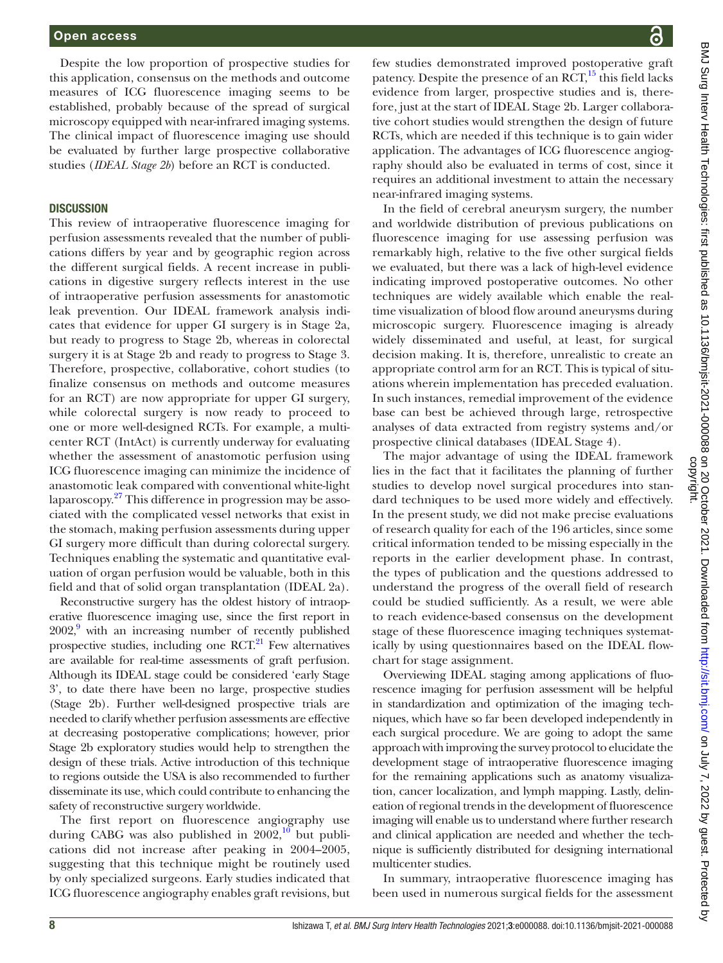Despite the low proportion of prospective studies for this application, consensus on the methods and outcome measures of ICG fluorescence imaging seems to be established, probably because of the spread of surgical microscopy equipped with near-infrared imaging systems. The clinical impact of fluorescence imaging use should be evaluated by further large prospective collaborative studies (*IDEAL Stage 2b*) before an RCT is conducted.

#### **DISCUSSION**

This review of intraoperative fluorescence imaging for perfusion assessments revealed that the number of publications differs by year and by geographic region across the different surgical fields. A recent increase in publications in digestive surgery reflects interest in the use of intraoperative perfusion assessments for anastomotic leak prevention. Our IDEAL framework analysis indicates that evidence for upper GI surgery is in Stage 2a, but ready to progress to Stage 2b, whereas in colorectal surgery it is at Stage 2b and ready to progress to Stage 3. Therefore, prospective, collaborative, cohort studies (to finalize consensus on methods and outcome measures for an RCT) are now appropriate for upper GI surgery, while colorectal surgery is now ready to proceed to one or more well-designed RCTs. For example, a multicenter RCT (IntAct) is currently underway for evaluating whether the assessment of anastomotic perfusion using ICG fluorescence imaging can minimize the incidence of anastomotic leak compared with conventional white-light laparoscopy.<sup>27</sup> This difference in progression may be associated with the complicated vessel networks that exist in the stomach, making perfusion assessments during upper GI surgery more difficult than during colorectal surgery. Techniques enabling the systematic and quantitative evaluation of organ perfusion would be valuable, both in this field and that of solid organ transplantation (IDEAL 2a).

Reconstructive surgery has the oldest history of intraoperative fluorescence imaging use, since the first report in 2002,<sup>9</sup> with an increasing number of recently published prospective studies, including one  $\text{RCT}^{21}$  $\text{RCT}^{21}$  $\text{RCT}^{21}$  Few alternatives are available for real-time assessments of graft perfusion. Although its IDEAL stage could be considered 'early Stage 3', to date there have been no large, prospective studies (Stage 2b). Further well-designed prospective trials are needed to clarify whether perfusion assessments are effective at decreasing postoperative complications; however, prior Stage 2b exploratory studies would help to strengthen the design of these trials. Active introduction of this technique to regions outside the USA is also recommended to further disseminate its use, which could contribute to enhancing the safety of reconstructive surgery worldwide.

The first report on fluorescence angiography use during CABG was also published in  $2002<sup>10</sup>$  $2002<sup>10</sup>$  $2002<sup>10</sup>$  but publications did not increase after peaking in 2004–2005, suggesting that this technique might be routinely used by only specialized surgeons. Early studies indicated that ICG fluorescence angiography enables graft revisions, but

few studies demonstrated improved postoperative graft patency. Despite the presence of an  $\text{RCT}$ ,<sup>15</sup> this field lacks evidence from larger, prospective studies and is, therefore, just at the start of IDEAL Stage 2b. Larger collaborative cohort studies would strengthen the design of future RCTs, which are needed if this technique is to gain wider application. The advantages of ICG fluorescence angiography should also be evaluated in terms of cost, since it requires an additional investment to attain the necessary near-infrared imaging systems.

In the field of cerebral aneurysm surgery, the number and worldwide distribution of previous publications on fluorescence imaging for use assessing perfusion was remarkably high, relative to the five other surgical fields we evaluated, but there was a lack of high-level evidence indicating improved postoperative outcomes. No other techniques are widely available which enable the realtime visualization of blood flow around aneurysms during microscopic surgery. Fluorescence imaging is already widely disseminated and useful, at least, for surgical decision making. It is, therefore, unrealistic to create an appropriate control arm for an RCT. This is typical of situations wherein implementation has preceded evaluation. In such instances, remedial improvement of the evidence base can best be achieved through large, retrospective analyses of data extracted from registry systems and/or prospective clinical databases (IDEAL Stage 4).

The major advantage of using the IDEAL framework lies in the fact that it facilitates the planning of further studies to develop novel surgical procedures into standard techniques to be used more widely and effectively. In the present study, we did not make precise evaluations of research quality for each of the 196 articles, since some critical information tended to be missing especially in the reports in the earlier development phase. In contrast, the types of publication and the questions addressed to understand the progress of the overall field of research could be studied sufficiently. As a result, we were able to reach evidence-based consensus on the development stage of these fluorescence imaging techniques systematically by using questionnaires based on the IDEAL flowchart for stage assignment.

Overviewing IDEAL staging among applications of fluorescence imaging for perfusion assessment will be helpful in standardization and optimization of the imaging techniques, which have so far been developed independently in each surgical procedure. We are going to adopt the same approach with improving the survey protocol to elucidate the development stage of intraoperative fluorescence imaging for the remaining applications such as anatomy visualization, cancer localization, and lymph mapping. Lastly, delineation of regional trends in the development of fluorescence imaging will enable us to understand where further research and clinical application are needed and whether the technique is sufficiently distributed for designing international multicenter studies.

In summary, intraoperative fluorescence imaging has been used in numerous surgical fields for the assessment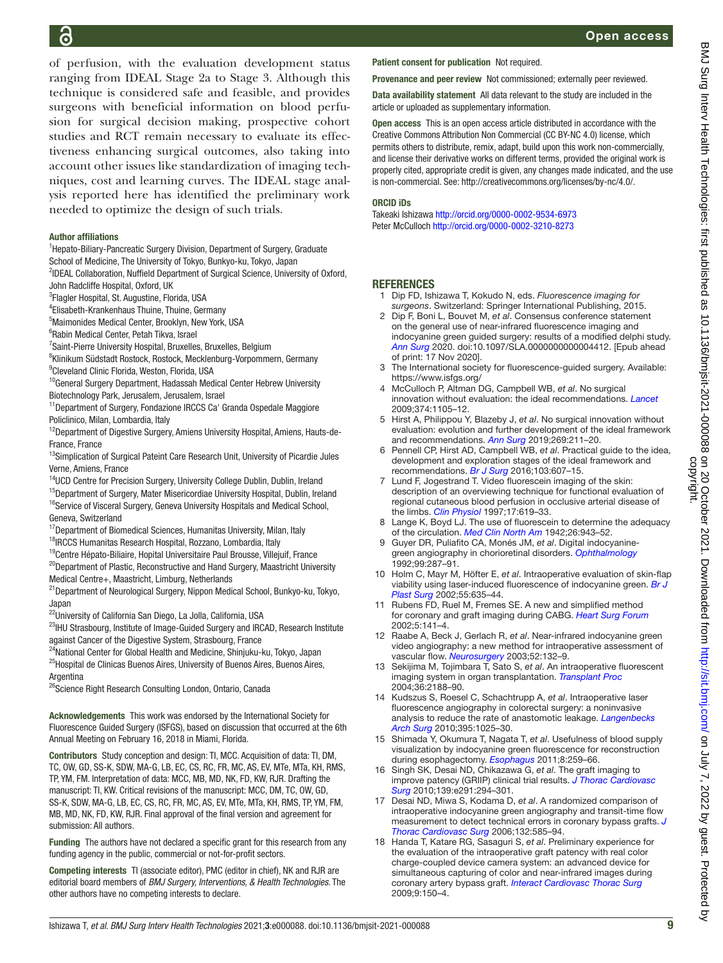of perfusion, with the evaluation development status ranging from IDEAL Stage 2a to Stage 3. Although this technique is considered safe and feasible, and provides surgeons with beneficial information on blood perfusion for surgical decision making, prospective cohort studies and RCT remain necessary to evaluate its effectiveness enhancing surgical outcomes, also taking into account other issues like standardization of imaging techniques, cost and learning curves. The IDEAL stage analysis reported here has identified the preliminary work needed to optimize the design of such trials.

#### Author affiliations

<sup>1</sup>Hepato-Biliary-Pancreatic Surgery Division, Department of Surgery, Graduate

School of Medicine, The University of Tokyo, Bunkyo-ku, Tokyo, Japan

<sup>2</sup>IDEAL Collaboration, Nuffield Department of Surgical Science, University of Oxford, John Radcliffe Hospital, Oxford, UK

<sup>3</sup>Flagler Hospital, St. Augustine, Florida, USA

4 Elisabeth-Krankenhaus Thuine, Thuine, Germany

5 Maimonides Medical Center, Brooklyn, New York, USA

6 Rabin Medical Center, Petah Tikva, Israel

<sup>7</sup>Saint-Pierre University Hospital, Bruxelles, Bruxelles, Belgium

8 Klinikum Südstadt Rostock, Rostock, Mecklenburg-Vorpommern, Germany

9 Cleveland Clinic Florida, Weston, Florida, USA

<sup>10</sup>General Surgery Department, Hadassah Medical Center Hebrew University Biotechnology Park, Jerusalem, Jerusalem, Israel

<sup>11</sup>Department of Surgery, Fondazione IRCCS Ca' Granda Ospedale Maggiore Policlinico, Milan, Lombardia, Italy

<sup>12</sup>Department of Digestive Surgery, Amiens University Hospital, Amiens, Hauts-de-France, France

<sup>13</sup>Simplication of Surgical Pateint Care Research Unit, University of Picardie Jules Verne, Amiens, France

<sup>14</sup>UCD Centre for Precision Surgery, University College Dublin, Dublin, Ireland

<sup>15</sup>Department of Surgery, Mater Misericordiae University Hospital, Dublin, Ireland  ${}^{16}$ Service of Visceral Surgery, Geneva University Hospitals and Medical School, Geneva, Switzerland

<sup>17</sup>Department of Biomedical Sciences, Humanitas University, Milan, Italy <sup>18</sup>IRCCS Humanitas Research Hospital, Rozzano, Lombardia, Italy

<sup>19</sup>Centre Hépato-Biliaire, Hopital Universitaire Paul Brousse, Villejuif, France

<sup>20</sup>Department of Plastic, Reconstructive and Hand Surgery, Maastricht University Medical Centre+, Maastricht, Limburg, Netherlands

<sup>21</sup>Department of Neurological Surgery, Nippon Medical School, Bunkyo-ku, Tokyo, Japan

<sup>22</sup>University of California San Diego, La Jolla, California, USA

<sup>23</sup>IHU Strasbourg, Institute of Image-Guided Surgery and IRCAD, Research Institute against Cancer of the Digestive System, Strasbourg, France

<sup>24</sup>National Center for Global Health and Medicine, Shinjuku-ku, Tokyo, Japan <sup>25</sup>Hospital de Clinicas Buenos Aires, University of Buenos Aires, Buenos Aires, Argentina

<sup>26</sup>Science Right Research Consulting London, Ontario, Canada

Acknowledgements This work was endorsed by the International Society for Fluorescence Guided Surgery (ISFGS), based on discussion that occurred at the 6th Annual Meeting on February 16, 2018 in Miami, Florida.

Contributors Study conception and design: TI, MCC. Acquisition of data: TI, DM, TC, OW, GD, SS-K, SDW, MA-G, LB, EC, CS, RC, FR, MC, AS, EV, MTe, MTa, KH, RMS, TP, YM, FM. Interpretation of data: MCC, MB, MD, NK, FD, KW, RJR. Drafting the manuscript: TI, KW. Critical revisions of the manuscript: MCC, DM, TC, OW, GD, SS-K, SDW, MA-G, LB, EC, CS, RC, FR, MC, AS, EV, MTe, MTa, KH, RMS, TP, YM, FM, MB, MD, NK, FD, KW, RJR. Final approval of the final version and agreement for submission: All authors.

Funding The authors have not declared a specific grant for this research from any funding agency in the public, commercial or not-for-profit sectors.

Competing interests TI (associate editor), PMC (editor in chief), NK and RJR are editorial board members of *BMJ Surgery, Interventions, & Health Technologies*. The other authors have no competing interests to declare.

#### Patient consent for publication Not required.

Provenance and peer review Not commissioned; externally peer reviewed.

Data availability statement All data relevant to the study are included in the article or uploaded as supplementary information.

Open access This is an open access article distributed in accordance with the Creative Commons Attribution Non Commercial (CC BY-NC 4.0) license, which permits others to distribute, remix, adapt, build upon this work non-commercially, and license their derivative works on different terms, provided the original work is properly cited, appropriate credit is given, any changes made indicated, and the use is non-commercial. See: [http://creativecommons.org/licenses/by-nc/4.0/.](http://creativecommons.org/licenses/by-nc/4.0/)

#### ORCID iDs

Takeaki Ishizawa <http://orcid.org/0000-0002-9534-6973> Peter McCulloch <http://orcid.org/0000-0002-3210-8273>

#### **REFERENCES**

- <span id="page-8-0"></span>1 Dip FD, Ishizawa T, Kokudo N, eds. *Fluorescence imaging for surgeons*. Switzerland: Springer International Publishing, 2015.
- 2 Dip F, Boni L, Bouvet M, *et al*. Consensus conference statement on the general use of near-infrared fluorescence imaging and indocyanine green guided surgery: results of a modified delphi study. *[Ann Surg](http://dx.doi.org/10.1097/SLA.0000000000004412)* 2020. doi:10.1097/SLA.0000000000004412. [Epub ahead of print: 17 Nov 2020].
- <span id="page-8-1"></span>3 The International society for fluorescence-guided surgery. Available: <https://www.isfgs.org/>
- <span id="page-8-2"></span>4 McCulloch P, Altman DG, Campbell WB, *et al*. No surgical innovation without evaluation: the ideal recommendations. *[Lancet](http://dx.doi.org/10.1016/S0140-6736(09)61116-8)* 2009;374:1105–12.
- 5 Hirst A, Philippou Y, Blazeby J, *et al*. No surgical innovation without evaluation: evolution and further development of the ideal framework and recommendations. *[Ann Surg](http://dx.doi.org/10.1097/SLA.0000000000002794)* 2019;269:211–20.
- <span id="page-8-3"></span>6 Pennell CP, Hirst AD, Campbell WB, *et al*. Practical guide to the idea, development and exploration stages of the ideal framework and recommendations. *[Br J Surg](http://dx.doi.org/10.1002/bjs.10115)* 2016;103:607–15.
- <span id="page-8-4"></span>7 Lund F, Jogestrand T. Video fluorescein imaging of the skin: description of an overviewing technique for functional evaluation of regional cutaneous blood perfusion in occlusive arterial disease of the limbs. *[Clin Physiol](http://dx.doi.org/10.1046/j.1365-2281.1997.00057.x)* 1997;17:619–33.
- <span id="page-8-5"></span>8 Lange K, Boyd LJ. The use of fluorescein to determine the adequacy of the circulation. *[Med Clin North Am](http://dx.doi.org/10.1016/S0025-7125(16)36467-7)* 1942;26:943–52.
- <span id="page-8-6"></span>9 Guyer DR, Puliafito CA, Monés JM, *et al*. Digital indocyaninegreen angiography in chorioretinal disorders. *[Ophthalmology](http://dx.doi.org/10.1016/S0161-6420(92)31981-5)* 1992;99:287–91.
- <span id="page-8-7"></span>10 Holm C, Mayr M, Höfter E, *et al*. Intraoperative evaluation of skin-flap viability using laser-induced fluorescence of indocyanine green. *[Br J](http://dx.doi.org/10.1054/bjps.2002.3969)  [Plast Surg](http://dx.doi.org/10.1054/bjps.2002.3969)* 2002;55:635–44.
- <span id="page-8-8"></span>11 Rubens FD, Ruel M, Fremes SE. A new and simplified method for coronary and graft imaging during CABG. *[Heart Surg Forum](http://www.ncbi.nlm.nih.gov/pubmed/12114127)* 2002;5:141–4.
- <span id="page-8-9"></span>12 Raabe A, Beck J, Gerlach R, *et al*. Near-infrared indocyanine green video angiography: a new method for intraoperative assessment of vascular flow. *[Neurosurgery](http://dx.doi.org/10.1097/00006123-200301000-00017)* 2003;52:132–9.
- <span id="page-8-10"></span>13 Sekijima M, Tojimbara T, Sato S, *et al*. An intraoperative fluorescent imaging system in organ transplantation. *[Transplant Proc](http://dx.doi.org/10.1016/j.transproceed.2004.09.001)* 2004;36:2188–90.
- <span id="page-8-11"></span>14 Kudszus S, Roesel C, Schachtrupp A, *et al*. Intraoperative laser fluorescence angiography in colorectal surgery: a noninvasive analysis to reduce the rate of anastomotic leakage. *[Langenbecks](http://dx.doi.org/10.1007/s00423-010-0699-x)  [Arch Surg](http://dx.doi.org/10.1007/s00423-010-0699-x)* 2010;395:1025–30.
- <span id="page-8-12"></span>15 Shimada Y, Okumura T, Nagata T, *et al*. Usefulness of blood supply visualization by indocyanine green fluorescence for reconstruction during esophagectomy. *[Esophagus](http://dx.doi.org/10.1007/s10388-011-0291-7)* 2011;8:259–66.
- <span id="page-8-13"></span>16 Singh SK, Desai ND, Chikazawa G, *et al*. The graft imaging to improve patency (GRIIP) clinical trial results. *[J Thorac Cardiovasc](http://dx.doi.org/10.1016/j.jtcvs.2009.09.048)  [Surg](http://dx.doi.org/10.1016/j.jtcvs.2009.09.048)* 2010;139:e291:294–301.
- <span id="page-8-14"></span>17 Desai ND, Miwa S, Kodama D, *et al*. A randomized comparison of intraoperative indocyanine green angiography and transit-time flow measurement to detect technical errors in coronary bypass grafts. *[J](http://dx.doi.org/10.1016/j.jtcvs.2005.09.061)  [Thorac Cardiovasc Surg](http://dx.doi.org/10.1016/j.jtcvs.2005.09.061)* 2006;132:585–94.
- 18 Handa T, Katare RG, Sasaguri S, *et al*. Preliminary experience for the evaluation of the intraoperative graft patency with real color charge-coupled device camera system: an advanced device for simultaneous capturing of color and near-infrared images during coronary artery bypass graft. *[Interact Cardiovasc Thorac Surg](http://dx.doi.org/10.1510/icvts.2008.201418)* 2009;9:150–4.